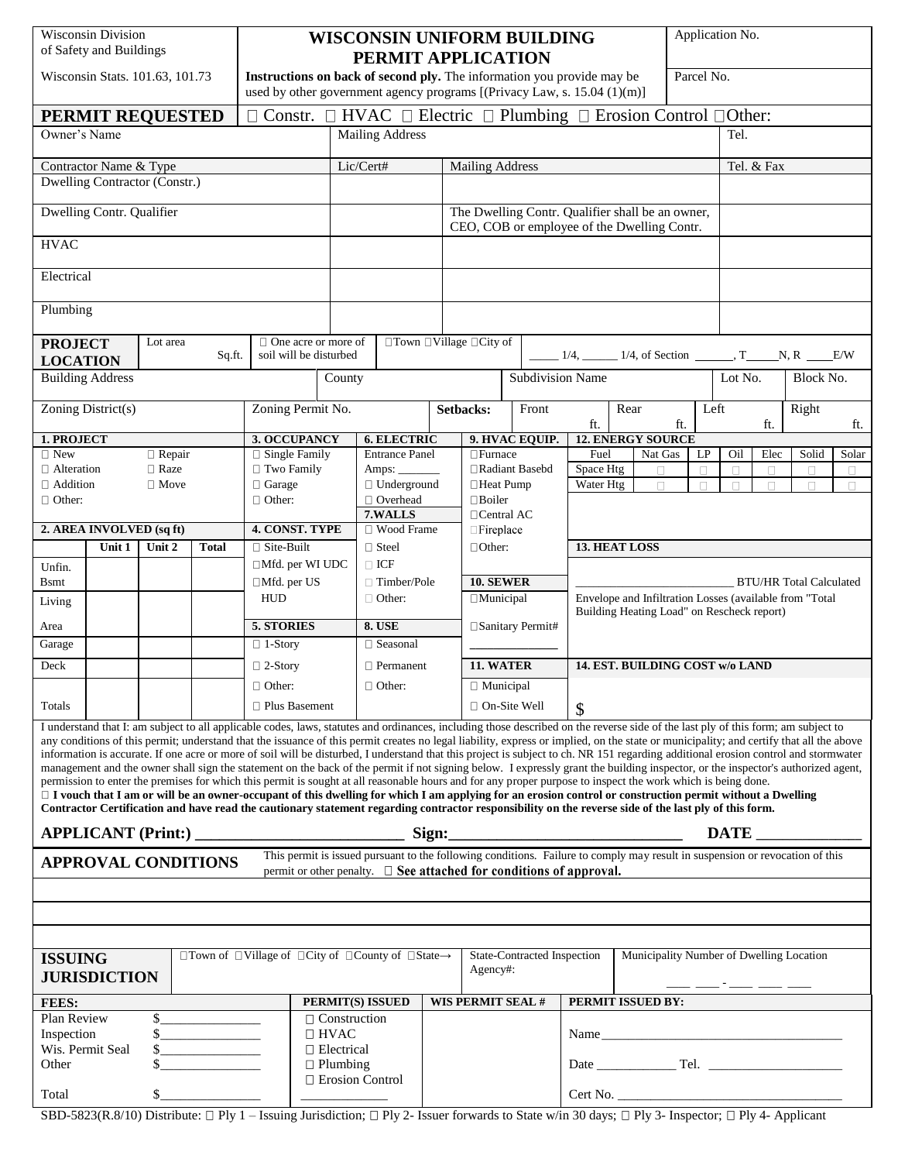| <b>Wisconsin Division</b><br>of Safety and Buildings                                                                                                                                                                                                                                                                                                                                                                                                                                                                                                                                                                                                                                                                                                                                                                                                                                                                                                                                                                                                                                                                                                                                                                                           |                          |                         |                                                      | <b>WISCONSIN UNIFORM BUILDING</b><br>PERMIT APPLICATION                                                                                            |                         |                            |                                                                                                 |                   |                                                                                                                                                                                                                                                                                                                            |                                                                                                                                         |                      | Application No.                        |                          |              |               |                |                 |            |
|------------------------------------------------------------------------------------------------------------------------------------------------------------------------------------------------------------------------------------------------------------------------------------------------------------------------------------------------------------------------------------------------------------------------------------------------------------------------------------------------------------------------------------------------------------------------------------------------------------------------------------------------------------------------------------------------------------------------------------------------------------------------------------------------------------------------------------------------------------------------------------------------------------------------------------------------------------------------------------------------------------------------------------------------------------------------------------------------------------------------------------------------------------------------------------------------------------------------------------------------|--------------------------|-------------------------|------------------------------------------------------|----------------------------------------------------------------------------------------------------------------------------------------------------|-------------------------|----------------------------|-------------------------------------------------------------------------------------------------|-------------------|----------------------------------------------------------------------------------------------------------------------------------------------------------------------------------------------------------------------------------------------------------------------------------------------------------------------------|-----------------------------------------------------------------------------------------------------------------------------------------|----------------------|----------------------------------------|--------------------------|--------------|---------------|----------------|-----------------|------------|
| Wisconsin Stats. 101.63, 101.73                                                                                                                                                                                                                                                                                                                                                                                                                                                                                                                                                                                                                                                                                                                                                                                                                                                                                                                                                                                                                                                                                                                                                                                                                |                          |                         |                                                      | Instructions on back of second ply. The information you provide may be<br>used by other government agency programs [(Privacy Law, s. 15.04 (1)(m)] |                         |                            |                                                                                                 |                   |                                                                                                                                                                                                                                                                                                                            |                                                                                                                                         |                      | Parcel No.                             |                          |              |               |                |                 |            |
| PERMIT REQUESTED                                                                                                                                                                                                                                                                                                                                                                                                                                                                                                                                                                                                                                                                                                                                                                                                                                                                                                                                                                                                                                                                                                                                                                                                                               |                          |                         |                                                      |                                                                                                                                                    |                         |                            | $\Box$ Constr. $\Box$ HVAC $\Box$ Electric $\Box$ Plumbing $\Box$ Erosion Control $\Box$ Other: |                   |                                                                                                                                                                                                                                                                                                                            |                                                                                                                                         |                      |                                        |                          |              |               |                |                 |            |
| Owner's Name                                                                                                                                                                                                                                                                                                                                                                                                                                                                                                                                                                                                                                                                                                                                                                                                                                                                                                                                                                                                                                                                                                                                                                                                                                   |                          |                         |                                                      |                                                                                                                                                    |                         | <b>Mailing Address</b>     |                                                                                                 |                   |                                                                                                                                                                                                                                                                                                                            |                                                                                                                                         |                      |                                        |                          | Tel.         |               |                |                 |            |
|                                                                                                                                                                                                                                                                                                                                                                                                                                                                                                                                                                                                                                                                                                                                                                                                                                                                                                                                                                                                                                                                                                                                                                                                                                                |                          |                         |                                                      |                                                                                                                                                    |                         |                            |                                                                                                 |                   |                                                                                                                                                                                                                                                                                                                            |                                                                                                                                         |                      |                                        |                          |              |               |                |                 |            |
|                                                                                                                                                                                                                                                                                                                                                                                                                                                                                                                                                                                                                                                                                                                                                                                                                                                                                                                                                                                                                                                                                                                                                                                                                                                | Contractor Name & Type   |                         |                                                      |                                                                                                                                                    |                         | Lic/Cert#                  |                                                                                                 |                   | <b>Mailing Address</b>                                                                                                                                                                                                                                                                                                     |                                                                                                                                         |                      |                                        |                          |              |               | Tel. & Fax     |                 |            |
| Dwelling Contractor (Constr.)                                                                                                                                                                                                                                                                                                                                                                                                                                                                                                                                                                                                                                                                                                                                                                                                                                                                                                                                                                                                                                                                                                                                                                                                                  |                          |                         |                                                      |                                                                                                                                                    |                         |                            |                                                                                                 |                   |                                                                                                                                                                                                                                                                                                                            |                                                                                                                                         |                      |                                        |                          |              |               |                |                 |            |
| Dwelling Contr. Qualifier                                                                                                                                                                                                                                                                                                                                                                                                                                                                                                                                                                                                                                                                                                                                                                                                                                                                                                                                                                                                                                                                                                                                                                                                                      |                          |                         |                                                      |                                                                                                                                                    |                         |                            |                                                                                                 |                   | The Dwelling Contr. Qualifier shall be an owner,<br>CEO, COB or employee of the Dwelling Contr.                                                                                                                                                                                                                            |                                                                                                                                         |                      |                                        |                          |              |               |                |                 |            |
| <b>HVAC</b>                                                                                                                                                                                                                                                                                                                                                                                                                                                                                                                                                                                                                                                                                                                                                                                                                                                                                                                                                                                                                                                                                                                                                                                                                                    |                          |                         |                                                      |                                                                                                                                                    |                         |                            |                                                                                                 |                   |                                                                                                                                                                                                                                                                                                                            |                                                                                                                                         |                      |                                        |                          |              |               |                |                 |            |
| Electrical                                                                                                                                                                                                                                                                                                                                                                                                                                                                                                                                                                                                                                                                                                                                                                                                                                                                                                                                                                                                                                                                                                                                                                                                                                     |                          |                         |                                                      |                                                                                                                                                    |                         |                            |                                                                                                 |                   |                                                                                                                                                                                                                                                                                                                            |                                                                                                                                         |                      |                                        |                          |              |               |                |                 |            |
| Plumbing                                                                                                                                                                                                                                                                                                                                                                                                                                                                                                                                                                                                                                                                                                                                                                                                                                                                                                                                                                                                                                                                                                                                                                                                                                       |                          |                         |                                                      |                                                                                                                                                    |                         |                            |                                                                                                 |                   |                                                                                                                                                                                                                                                                                                                            |                                                                                                                                         |                      |                                        |                          |              |               |                |                 |            |
| Lot area<br><b>PROJECT</b><br>Sq.ft.<br><b>LOCATION</b>                                                                                                                                                                                                                                                                                                                                                                                                                                                                                                                                                                                                                                                                                                                                                                                                                                                                                                                                                                                                                                                                                                                                                                                        |                          |                         | $\Box$ One acre or more of<br>soil will be disturbed |                                                                                                                                                    | □Town □Village □City of |                            |                                                                                                 |                   | $\frac{1}{4}$ , $\frac{1}{4}$ , $\frac{1}{4}$ , of Section $\frac{1}{4}$ , $\frac{1}{4}$ , $\frac{1}{4}$ , $\frac{1}{4}$ , $\frac{1}{4}$ , $\frac{1}{4}$ , $\frac{1}{4}$ , $\frac{1}{4}$ , $\frac{1}{4}$ , $\frac{1}{4}$ , $\frac{1}{4}$ , $\frac{1}{4}$ , $\frac{1}{4}$ , $\frac{1}{4}$ , $\frac{1}{4}$ , $\frac{1}{4}$ , |                                                                                                                                         |                      |                                        |                          |              |               |                |                 |            |
|                                                                                                                                                                                                                                                                                                                                                                                                                                                                                                                                                                                                                                                                                                                                                                                                                                                                                                                                                                                                                                                                                                                                                                                                                                                | <b>Building Address</b>  |                         |                                                      |                                                                                                                                                    |                         | County                     |                                                                                                 |                   |                                                                                                                                                                                                                                                                                                                            | Subdivision Name                                                                                                                        |                      |                                        |                          |              | Lot No.       |                | Block No.       |            |
| Zoning District(s)                                                                                                                                                                                                                                                                                                                                                                                                                                                                                                                                                                                                                                                                                                                                                                                                                                                                                                                                                                                                                                                                                                                                                                                                                             |                          |                         | Zoning Permit No.                                    |                                                                                                                                                    |                         |                            |                                                                                                 | Setbacks:         | Front                                                                                                                                                                                                                                                                                                                      |                                                                                                                                         | Rear                 |                                        | Left                     |              |               | Right          |                 |            |
|                                                                                                                                                                                                                                                                                                                                                                                                                                                                                                                                                                                                                                                                                                                                                                                                                                                                                                                                                                                                                                                                                                                                                                                                                                                |                          |                         |                                                      |                                                                                                                                                    |                         |                            |                                                                                                 |                   |                                                                                                                                                                                                                                                                                                                            |                                                                                                                                         | ft.                  |                                        | ft.                      |              |               | ft.            |                 | ft.        |
| 1. PROJECT                                                                                                                                                                                                                                                                                                                                                                                                                                                                                                                                                                                                                                                                                                                                                                                                                                                                                                                                                                                                                                                                                                                                                                                                                                     |                          |                         |                                                      | 3. OCCUPANCY                                                                                                                                       |                         |                            | <b>6. ELECTRIC</b>                                                                              |                   |                                                                                                                                                                                                                                                                                                                            | 9. HVAC EQUIP.                                                                                                                          |                      |                                        | <b>12. ENERGY SOURCE</b> |              |               |                |                 |            |
| $\square$ New<br>$\Box$ Alteration                                                                                                                                                                                                                                                                                                                                                                                                                                                                                                                                                                                                                                                                                                                                                                                                                                                                                                                                                                                                                                                                                                                                                                                                             |                          | □ Repair<br>$\Box$ Raze |                                                      | $\Box$ Single Family<br>□ Two Family                                                                                                               |                         |                            | <b>Entrance Panel</b><br>Amps: $\frac{1}{2}$                                                    |                   | □Furnace                                                                                                                                                                                                                                                                                                                   | Radiant Basebd                                                                                                                          | Fuel<br>Space Htg    |                                        | Nat Gas<br>$\Box$        | LP<br>$\Box$ | Oil<br>$\Box$ | Elec<br>$\Box$ | Solid<br>$\Box$ | Solar<br>П |
| □ Addition<br>$\Box$ Move                                                                                                                                                                                                                                                                                                                                                                                                                                                                                                                                                                                                                                                                                                                                                                                                                                                                                                                                                                                                                                                                                                                                                                                                                      |                          |                         | □ Garage                                             |                                                                                                                                                    | $\Box$ Underground      |                            |                                                                                                 | □Heat Pump        |                                                                                                                                                                                                                                                                                                                            | Water Htg                                                                                                                               |                      | $\Box$                                 | П                        | П            | П             | $\Box$         | $\Box$          |            |
| $\Box$ Other:                                                                                                                                                                                                                                                                                                                                                                                                                                                                                                                                                                                                                                                                                                                                                                                                                                                                                                                                                                                                                                                                                                                                                                                                                                  |                          |                         | $\Box$ Other:                                        |                                                                                                                                                    | □ Overhead              |                            |                                                                                                 | $\Box$ Boiler     |                                                                                                                                                                                                                                                                                                                            |                                                                                                                                         |                      |                                        |                          |              |               |                |                 |            |
|                                                                                                                                                                                                                                                                                                                                                                                                                                                                                                                                                                                                                                                                                                                                                                                                                                                                                                                                                                                                                                                                                                                                                                                                                                                |                          |                         |                                                      | 7.WALLS                                                                                                                                            |                         |                            | □Central AC                                                                                     |                   |                                                                                                                                                                                                                                                                                                                            |                                                                                                                                         |                      |                                        |                          |              |               |                |                 |            |
|                                                                                                                                                                                                                                                                                                                                                                                                                                                                                                                                                                                                                                                                                                                                                                                                                                                                                                                                                                                                                                                                                                                                                                                                                                                | 2. AREA INVOLVED (sq ft) |                         |                                                      | <b>4. CONST. TYPE</b>                                                                                                                              |                         | □ Wood Frame               |                                                                                                 |                   | $\Box$ Fireplace                                                                                                                                                                                                                                                                                                           |                                                                                                                                         |                      |                                        |                          |              |               |                |                 |            |
| Unit 1<br>Unit 2<br><b>Total</b>                                                                                                                                                                                                                                                                                                                                                                                                                                                                                                                                                                                                                                                                                                                                                                                                                                                                                                                                                                                                                                                                                                                                                                                                               |                          |                         | $\Box$ Site-Built<br>□Mfd. per WI UDC                |                                                                                                                                                    |                         | $\Box$ Steel<br>$\Box$ ICF |                                                                                                 | $\Box$ Other:     |                                                                                                                                                                                                                                                                                                                            |                                                                                                                                         | <b>13. HEAT LOSS</b> |                                        |                          |              |               |                |                 |            |
|                                                                                                                                                                                                                                                                                                                                                                                                                                                                                                                                                                                                                                                                                                                                                                                                                                                                                                                                                                                                                                                                                                                                                                                                                                                | Unfin.                   |                         |                                                      | □Mfd. per US                                                                                                                                       |                         | $\Box$ Timber/Pole         |                                                                                                 | <b>10. SEWER</b>  |                                                                                                                                                                                                                                                                                                                            |                                                                                                                                         |                      |                                        |                          |              |               |                |                 |            |
| <b>B</b> smt                                                                                                                                                                                                                                                                                                                                                                                                                                                                                                                                                                                                                                                                                                                                                                                                                                                                                                                                                                                                                                                                                                                                                                                                                                   |                          |                         | <b>HUD</b>                                           |                                                                                                                                                    | $\Box$ Other:           |                            | $\Box$ Municipal                                                                                |                   |                                                                                                                                                                                                                                                                                                                            | <b>BTU/HR Total Calculated</b><br>Envelope and Infiltration Losses (available from "Total<br>Building Heating Load" on Rescheck report) |                      |                                        |                          |              |               |                |                 |            |
| Living                                                                                                                                                                                                                                                                                                                                                                                                                                                                                                                                                                                                                                                                                                                                                                                                                                                                                                                                                                                                                                                                                                                                                                                                                                         |                          |                         |                                                      |                                                                                                                                                    |                         |                            |                                                                                                 |                   |                                                                                                                                                                                                                                                                                                                            |                                                                                                                                         |                      |                                        |                          |              |               |                |                 |            |
| Area                                                                                                                                                                                                                                                                                                                                                                                                                                                                                                                                                                                                                                                                                                                                                                                                                                                                                                                                                                                                                                                                                                                                                                                                                                           |                          |                         | <b>5. STORIES</b>                                    |                                                                                                                                                    |                         | <b>8. USE</b>              |                                                                                                 | □Sanitary Permit# |                                                                                                                                                                                                                                                                                                                            |                                                                                                                                         |                      |                                        |                          |              |               |                |                 |            |
|                                                                                                                                                                                                                                                                                                                                                                                                                                                                                                                                                                                                                                                                                                                                                                                                                                                                                                                                                                                                                                                                                                                                                                                                                                                | Garage                   |                         |                                                      | $\Box$ 1-Story                                                                                                                                     |                         | $\Box$ Seasonal            |                                                                                                 |                   |                                                                                                                                                                                                                                                                                                                            |                                                                                                                                         |                      |                                        |                          |              |               |                |                 |            |
| Deck                                                                                                                                                                                                                                                                                                                                                                                                                                                                                                                                                                                                                                                                                                                                                                                                                                                                                                                                                                                                                                                                                                                                                                                                                                           |                          |                         | $\Box$ 2-Story                                       |                                                                                                                                                    |                         | $\Box$ Permanent           |                                                                                                 |                   | 11. WATER                                                                                                                                                                                                                                                                                                                  |                                                                                                                                         |                      | <b>14. EST. BUILDING COST w/o LAND</b> |                          |              |               |                |                 |            |
|                                                                                                                                                                                                                                                                                                                                                                                                                                                                                                                                                                                                                                                                                                                                                                                                                                                                                                                                                                                                                                                                                                                                                                                                                                                | $\Box$ Other:            |                         |                                                      |                                                                                                                                                    | $\Box$ Other:           |                            |                                                                                                 | □ Municipal       |                                                                                                                                                                                                                                                                                                                            |                                                                                                                                         |                      |                                        |                          |              |               |                |                 |            |
| Totals                                                                                                                                                                                                                                                                                                                                                                                                                                                                                                                                                                                                                                                                                                                                                                                                                                                                                                                                                                                                                                                                                                                                                                                                                                         | $\Box$ Plus Basement     |                         |                                                      |                                                                                                                                                    |                         |                            |                                                                                                 |                   | □ On-Site Well<br>\$                                                                                                                                                                                                                                                                                                       |                                                                                                                                         |                      |                                        |                          |              |               |                |                 |            |
| I understand that I: am subject to all applicable codes, laws, statutes and ordinances, including those described on the reverse side of the last ply of this form; am subject to<br>any conditions of this permit; understand that the issuance of this permit creates no legal liability, express or implied, on the state or municipality; and certify that all the above<br>information is accurate. If one acre or more of soil will be disturbed, I understand that this project is subject to ch. NR 151 regarding additional erosion control and stormwater<br>management and the owner shall sign the statement on the back of the permit if not signing below. I expressly grant the building inspector, or the inspector's authorized agent,<br>permission to enter the premises for which this permit is sought at all reasonable hours and for any proper purpose to inspect the work which is being done.<br>□ I vouch that I am or will be an owner-occupant of this dwelling for which I am applying for an erosion control or construction permit without a Dwelling<br>Contractor Certification and have read the cautionary statement regarding contractor responsibility on the reverse side of the last ply of this form. |                          |                         |                                                      |                                                                                                                                                    |                         |                            |                                                                                                 |                   |                                                                                                                                                                                                                                                                                                                            |                                                                                                                                         |                      |                                        |                          |              |               |                |                 |            |
|                                                                                                                                                                                                                                                                                                                                                                                                                                                                                                                                                                                                                                                                                                                                                                                                                                                                                                                                                                                                                                                                                                                                                                                                                                                |                          |                         |                                                      |                                                                                                                                                    |                         |                            |                                                                                                 |                   |                                                                                                                                                                                                                                                                                                                            |                                                                                                                                         |                      |                                        |                          |              |               |                |                 |            |
| <b>APPLICANT (Print:)</b><br>A <b>DDDOVAL CONDITIONS</b> This permit is issued pursuant to the following conditions. Failure to comply may result in suspension or revocation of this<br><b>APPROVAL CONDITIONS</b><br>permit or other penalty. $\Box$ See attached for conditions of approval.                                                                                                                                                                                                                                                                                                                                                                                                                                                                                                                                                                                                                                                                                                                                                                                                                                                                                                                                                |                          |                         |                                                      |                                                                                                                                                    |                         |                            |                                                                                                 |                   |                                                                                                                                                                                                                                                                                                                            |                                                                                                                                         |                      |                                        |                          |              |               |                |                 |            |
|                                                                                                                                                                                                                                                                                                                                                                                                                                                                                                                                                                                                                                                                                                                                                                                                                                                                                                                                                                                                                                                                                                                                                                                                                                                |                          |                         |                                                      |                                                                                                                                                    |                         |                            |                                                                                                 |                   |                                                                                                                                                                                                                                                                                                                            |                                                                                                                                         |                      |                                        |                          |              |               |                |                 |            |
|                                                                                                                                                                                                                                                                                                                                                                                                                                                                                                                                                                                                                                                                                                                                                                                                                                                                                                                                                                                                                                                                                                                                                                                                                                                |                          |                         |                                                      |                                                                                                                                                    |                         |                            |                                                                                                 |                   |                                                                                                                                                                                                                                                                                                                            |                                                                                                                                         |                      |                                        |                          |              |               |                |                 |            |
|                                                                                                                                                                                                                                                                                                                                                                                                                                                                                                                                                                                                                                                                                                                                                                                                                                                                                                                                                                                                                                                                                                                                                                                                                                                |                          |                         |                                                      |                                                                                                                                                    |                         |                            |                                                                                                 |                   |                                                                                                                                                                                                                                                                                                                            |                                                                                                                                         |                      |                                        |                          |              |               |                |                 |            |
| $\Box$ Town of $\Box$ Village of $\Box$ City of $\Box$ County of $\Box$ State $\rightarrow$<br>State-Contracted Inspection<br>Municipality Number of Dwelling Location<br><b>ISSUING</b>                                                                                                                                                                                                                                                                                                                                                                                                                                                                                                                                                                                                                                                                                                                                                                                                                                                                                                                                                                                                                                                       |                          |                         |                                                      |                                                                                                                                                    |                         |                            |                                                                                                 |                   |                                                                                                                                                                                                                                                                                                                            |                                                                                                                                         |                      |                                        |                          |              |               |                |                 |            |
|                                                                                                                                                                                                                                                                                                                                                                                                                                                                                                                                                                                                                                                                                                                                                                                                                                                                                                                                                                                                                                                                                                                                                                                                                                                | <b>JURISDICTION</b>      |                         |                                                      |                                                                                                                                                    |                         |                            |                                                                                                 |                   |                                                                                                                                                                                                                                                                                                                            | Agency#:                                                                                                                                |                      |                                        |                          |              |               |                |                 |            |
|                                                                                                                                                                                                                                                                                                                                                                                                                                                                                                                                                                                                                                                                                                                                                                                                                                                                                                                                                                                                                                                                                                                                                                                                                                                |                          |                         |                                                      |                                                                                                                                                    |                         |                            |                                                                                                 |                   |                                                                                                                                                                                                                                                                                                                            |                                                                                                                                         |                      |                                        |                          |              |               |                |                 |            |
| FEES:<br>Plan Review                                                                                                                                                                                                                                                                                                                                                                                                                                                                                                                                                                                                                                                                                                                                                                                                                                                                                                                                                                                                                                                                                                                                                                                                                           |                          |                         |                                                      |                                                                                                                                                    |                         |                            | PERMIT(S) ISSUED                                                                                |                   |                                                                                                                                                                                                                                                                                                                            | WIS PERMIT SEAL #                                                                                                                       |                      |                                        | PERMIT ISSUED BY:        |              |               |                |                 |            |
| Inspection                                                                                                                                                                                                                                                                                                                                                                                                                                                                                                                                                                                                                                                                                                                                                                                                                                                                                                                                                                                                                                                                                                                                                                                                                                     |                          |                         |                                                      | $\Box$ Construction<br>$\Box$ HVAC                                                                                                                 |                         |                            |                                                                                                 |                   |                                                                                                                                                                                                                                                                                                                            |                                                                                                                                         |                      |                                        |                          |              |               |                |                 |            |
| $\frac{\text{S}}{\text{S}}$<br>Wis. Permit Seal                                                                                                                                                                                                                                                                                                                                                                                                                                                                                                                                                                                                                                                                                                                                                                                                                                                                                                                                                                                                                                                                                                                                                                                                |                          |                         |                                                      | $\Box$ Electrical                                                                                                                                  |                         |                            |                                                                                                 |                   |                                                                                                                                                                                                                                                                                                                            |                                                                                                                                         |                      |                                        |                          |              |               |                |                 |            |
| Other                                                                                                                                                                                                                                                                                                                                                                                                                                                                                                                                                                                                                                                                                                                                                                                                                                                                                                                                                                                                                                                                                                                                                                                                                                          |                          |                         |                                                      | $\Box$ Plumbing                                                                                                                                    |                         |                            |                                                                                                 |                   |                                                                                                                                                                                                                                                                                                                            |                                                                                                                                         |                      |                                        |                          |              |               |                |                 |            |
| Total                                                                                                                                                                                                                                                                                                                                                                                                                                                                                                                                                                                                                                                                                                                                                                                                                                                                                                                                                                                                                                                                                                                                                                                                                                          |                          |                         |                                                      |                                                                                                                                                    | □ Erosion Control       |                            |                                                                                                 |                   |                                                                                                                                                                                                                                                                                                                            |                                                                                                                                         |                      |                                        |                          |              |               |                |                 |            |

SBD-5823(R.8/10) Distribute:  $\Box$  Ply 1 – Issuing Jurisdiction;  $\Box$  Ply 2- Issuer forwards to State w/in 30 days;  $\Box$  Ply 3- Inspector;  $\Box$  Ply 4- Applicant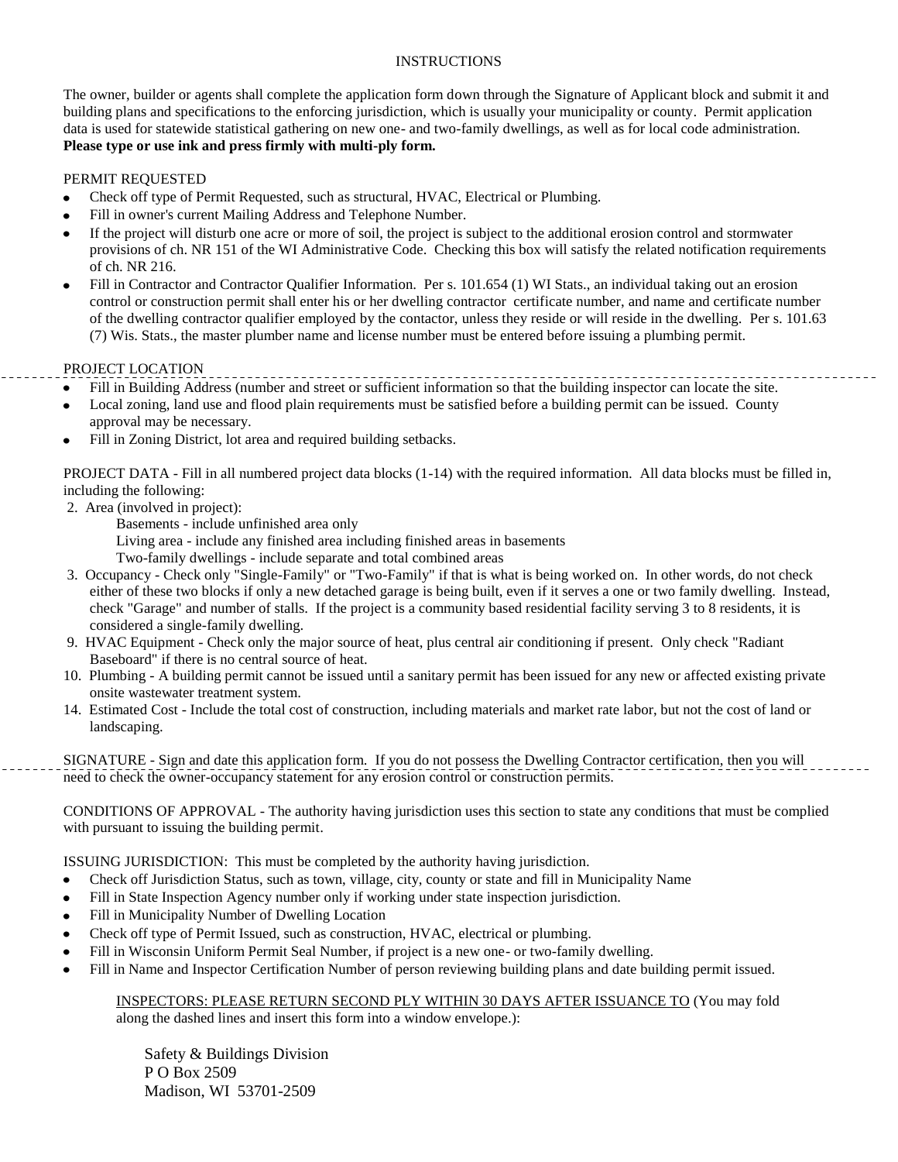#### INSTRUCTIONS

The owner, builder or agents shall complete the application form down through the Signature of Applicant block and submit it and building plans and specifications to the enforcing jurisdiction, which is usually your municipality or county. Permit application data is used for statewide statistical gathering on new one- and two-family dwellings, as well as for local code administration. **Please type or use ink and press firmly with multi-ply form.**

#### PERMIT REQUESTED

- $\bullet$ Check off type of Permit Requested, such as structural, HVAC, Electrical or Plumbing.
- Fill in owner's current Mailing Address and Telephone Number.
- If the project will disturb one acre or more of soil, the project is subject to the additional erosion control and stormwater  $\bullet$ provisions of ch. NR 151 of the WI Administrative Code. Checking this box will satisfy the related notification requirements of ch. NR 216.
- Fill in Contractor and Contractor Qualifier Information. Per s. 101.654 (1) WI Stats., an individual taking out an erosion  $\bullet$ control or construction permit shall enter his or her dwelling contractor certificate number, and name and certificate number of the dwelling contractor qualifier employed by the contactor, unless they reside or will reside in the dwelling. Per s. 101.63 (7) Wis. Stats., the master plumber name and license number must be entered before issuing a plumbing permit.

#### PROJECT LOCATION

- Fill in Building Address (number and street or sufficient information so that the building inspector can locate the site.
- Local zoning, land use and flood plain requirements must be satisfied before a building permit can be issued. County  $\bullet$ approval may be necessary.
- Fill in Zoning District, lot area and required building setbacks.  $\bullet$

PROJECT DATA - Fill in all numbered project data blocks (1-14) with the required information. All data blocks must be filled in, including the following:

2. Area (involved in project):

Basements - include unfinished area only

Living area - include any finished area including finished areas in basements

Two-family dwellings - include separate and total combined areas

- 3. Occupancy Check only "Single-Family" or "Two-Family" if that is what is being worked on. In other words, do not check either of these two blocks if only a new detached garage is being built, even if it serves a one or two family dwelling. Instead, check "Garage" and number of stalls. If the project is a community based residential facility serving 3 to 8 residents, it is considered a single-family dwelling.
- 9. HVAC Equipment Check only the major source of heat, plus central air conditioning if present. Only check "Radiant Baseboard" if there is no central source of heat.
- 10. Plumbing A building permit cannot be issued until a sanitary permit has been issued for any new or affected existing private onsite wastewater treatment system.
- 14. Estimated Cost Include the total cost of construction, including materials and market rate labor, but not the cost of land or landscaping.

SIGNATURE - Sign and date this application form. If you do not possess the Dwelling Contractor certification, then you will need to check the owner-occupancy statement for any erosion control or construction permits.

CONDITIONS OF APPROVAL - The authority having jurisdiction uses this section to state any conditions that must be complied with pursuant to issuing the building permit.

ISSUING JURISDICTION: This must be completed by the authority having jurisdiction.

- Check off Jurisdiction Status, such as town, village, city, county or state and fill in Municipality Name  $\bullet$
- Fill in State Inspection Agency number only if working under state inspection jurisdiction.
- Fill in Municipality Number of Dwelling Location  $\bullet$
- Check off type of Permit Issued, such as construction, HVAC, electrical or plumbing.
- Fill in Wisconsin Uniform Permit Seal Number, if project is a new one- or two-family dwelling.
- Fill in Name and Inspector Certification Number of person reviewing building plans and date building permit issued.

#### INSPECTORS: PLEASE RETURN SECOND PLY WITHIN 30 DAYS AFTER ISSUANCE TO (You may fold along the dashed lines and insert this form into a window envelope.):

 Safety & Buildings Division P O Box 2509 Madison, WI 53701-2509